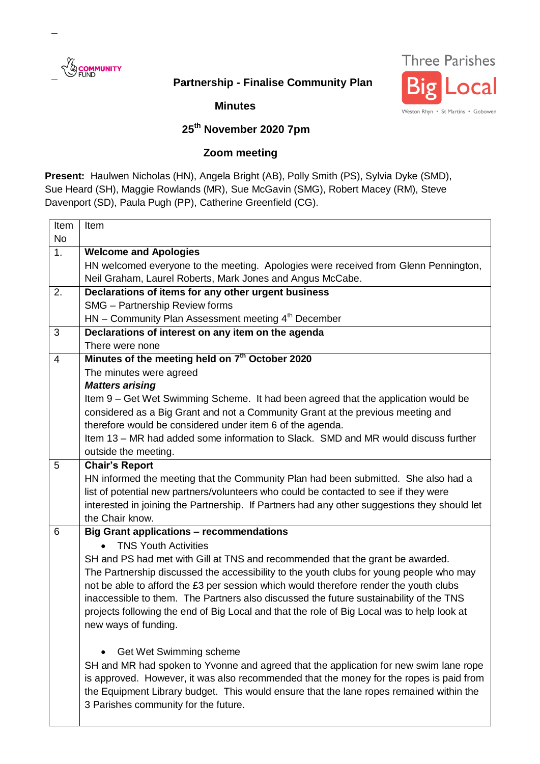

## **Partnership - Finalise Community Plan**



**Minutes**

## **25th November 2020 7pm**

## **Zoom meeting**

**Present:** Haulwen Nicholas (HN), Angela Bright (AB), Polly Smith (PS), Sylvia Dyke (SMD), Sue Heard (SH), Maggie Rowlands (MR), Sue McGavin (SMG), Robert Macey (RM), Steve Davenport (SD), Paula Pugh (PP), Catherine Greenfield (CG).

| Item           | Item                                                                                         |
|----------------|----------------------------------------------------------------------------------------------|
| No             |                                                                                              |
| 1.             | <b>Welcome and Apologies</b>                                                                 |
|                | HN welcomed everyone to the meeting. Apologies were received from Glenn Pennington,          |
|                | Neil Graham, Laurel Roberts, Mark Jones and Angus McCabe.                                    |
| 2.             | Declarations of items for any other urgent business                                          |
|                | SMG - Partnership Review forms                                                               |
|                | HN - Community Plan Assessment meeting 4 <sup>th</sup> December                              |
| 3              | Declarations of interest on any item on the agenda                                           |
|                | There were none                                                                              |
| $\overline{4}$ | Minutes of the meeting held on 7 <sup>th</sup> October 2020                                  |
|                | The minutes were agreed                                                                      |
|                | <b>Matters arising</b>                                                                       |
|                | Item 9 – Get Wet Swimming Scheme. It had been agreed that the application would be           |
|                | considered as a Big Grant and not a Community Grant at the previous meeting and              |
|                | therefore would be considered under item 6 of the agenda.                                    |
|                | Item 13 – MR had added some information to Slack. SMD and MR would discuss further           |
|                | outside the meeting.                                                                         |
| 5              | <b>Chair's Report</b>                                                                        |
|                | HN informed the meeting that the Community Plan had been submitted. She also had a           |
|                | list of potential new partners/volunteers who could be contacted to see if they were         |
|                | interested in joining the Partnership. If Partners had any other suggestions they should let |
|                | the Chair know.                                                                              |
| 6              | <b>Big Grant applications - recommendations</b>                                              |
|                | <b>TNS Youth Activities</b>                                                                  |
|                | SH and PS had met with Gill at TNS and recommended that the grant be awarded.                |
|                | The Partnership discussed the accessibility to the youth clubs for young people who may      |
|                | not be able to afford the £3 per session which would therefore render the youth clubs        |
|                | inaccessible to them. The Partners also discussed the future sustainability of the TNS       |
|                | projects following the end of Big Local and that the role of Big Local was to help look at   |
|                | new ways of funding.                                                                         |
|                |                                                                                              |
|                | Get Wet Swimming scheme                                                                      |
|                | SH and MR had spoken to Yvonne and agreed that the application for new swim lane rope        |
|                | is approved. However, it was also recommended that the money for the ropes is paid from      |
|                | the Equipment Library budget. This would ensure that the lane ropes remained within the      |
|                | 3 Parishes community for the future.                                                         |
|                |                                                                                              |